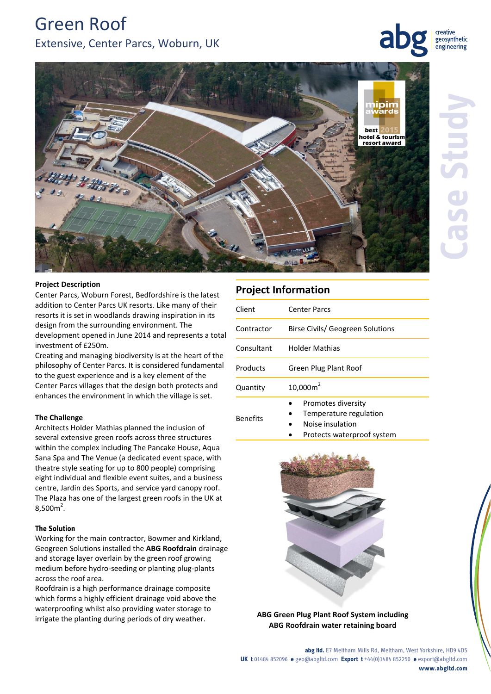# Green Roof Extensive, Center Parcs, Woburn, UK

creative geosynthetic engineering



#### **Project Description**

Center Parcs, Woburn Forest, Bedfordshire is the latest addition to Center Parcs UK resorts. Like many of their resorts it is set in woodlands drawing inspiration in its design from the surrounding environment. The development opened in June 2014 and represents a total investment of £250m.

Creating and managing biodiversity is at the heart of the philosophy of Center Parcs. It is considered fundamental to the guest experience and is a key element of the Center Parcs villages that the design both protects and enhances the environment in which the village is set.

#### **The Challenge**

Architects Holder Mathias planned the inclusion of several extensive green roofs across three structures within the complex including The Pancake House, Aqua Sana Spa and The Venue (a dedicated event space, with theatre style seating for up to 800 people) comprising eight individual and flexible event suites, and a business centre, Jardin des Sports, and service yard canopy roof. The Plaza has one of the largest green roofs in the UK at  $8,500m^2$ .

#### **The Solution**

Working for the main contractor, Bowmer and Kirkland, Geogreen Solutions installed the **ABG Roofdrain** drainage and storage layer overlain by the green roof growing medium before hydro-seeding or planting plug-plants across the roof area.

Roofdrain is a high performance drainage composite which forms a highly efficient drainage void above the waterproofing whilst also providing water storage to irrigate the planting during periods of dry weather.

## **Project Information**

| Client          | <b>Center Parcs</b>                                                         |
|-----------------|-----------------------------------------------------------------------------|
| Contractor      | Birse Civils/ Geogreen Solutions                                            |
| Consultant      | Holder Mathias                                                              |
| Products        | Green Plug Plant Roof                                                       |
| Quantity        | $10,000m^2$                                                                 |
| <b>Benefits</b> | Promotes diversity<br>Temperature regulation<br>Material control and a con- |

- Noise insulation
	- Protects waterproof system



**ABG Green Plug Plant Roof System including ABG Roofdrain water retaining board** 

**abg ltd.** E7 Meltham Mills Rd, Meltham, West Yorkshire, HD9 4DS **UK t** 01484 852096 **e** geo@abgltd.com **Export t** +44(0)1484 852250 **e** export@abgltd.com **www.abgltd.com**